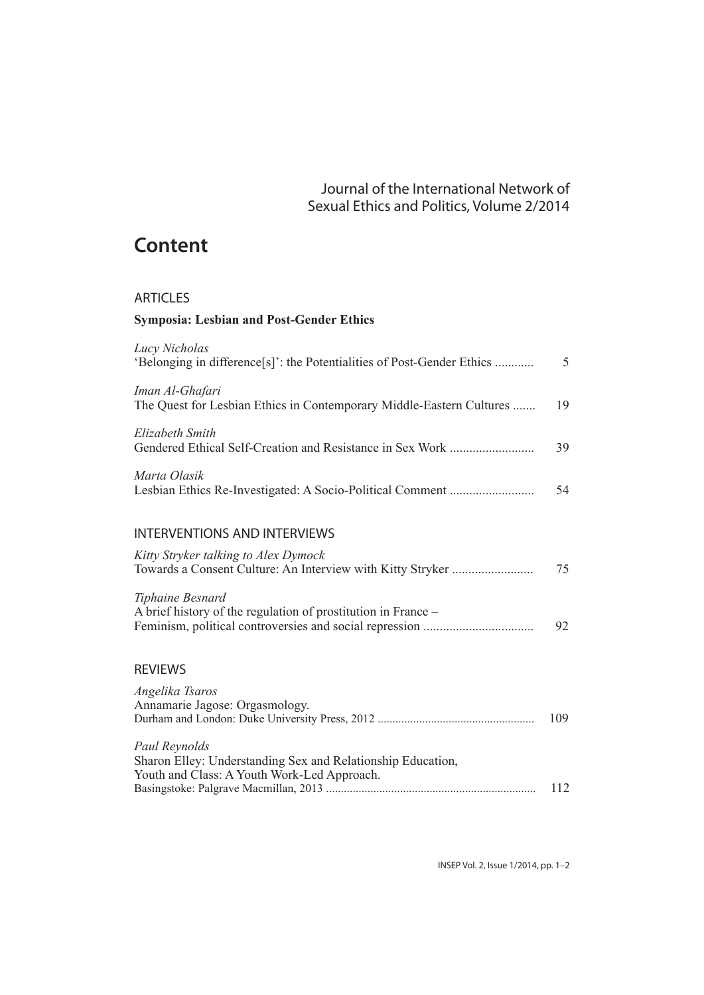## Journal of the International Network of Sexual Ethics and Politics, Volume 2/2014

## **Content**

## ARTICLES

## **Symposia: Lesbian and Post-Gender Ethics**

| Lucy Nicholas<br>'Belonging in difference[s]': the Potentialities of Post-Gender Ethics                                     | 5   |
|-----------------------------------------------------------------------------------------------------------------------------|-----|
| Iman Al-Ghafari<br>The Quest for Lesbian Ethics in Contemporary Middle-Eastern Cultures                                     | 19  |
| Elizabeth Smith                                                                                                             | 39  |
| Marta Olasik                                                                                                                | 54  |
| <b>INTERVENTIONS AND INTERVIEWS</b>                                                                                         |     |
| Kitty Stryker talking to Alex Dymock                                                                                        | 75  |
| Tiphaine Besnard<br>A brief history of the regulation of prostitution in France -                                           | 92  |
| <b>REVIEWS</b>                                                                                                              |     |
| Angelika Tsaros<br>Annamarie Jagose: Orgasmology.                                                                           | 109 |
| Paul Reynolds<br>Sharon Elley: Understanding Sex and Relationship Education,<br>Youth and Class: A Youth Work-Led Approach. |     |
|                                                                                                                             | 112 |